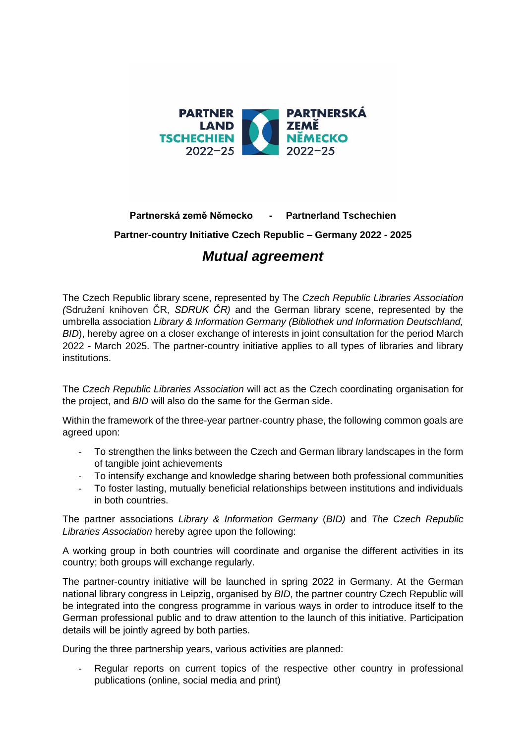

## **Partnerská země Německo - Partnerland Tschechien Partner-country Initiative Czech Republic – Germany 2022 - 2025** *Mutual agreement*

The Czech Republic library scene, represented by The *Czech Republic Libraries Association (*Sdružení knihoven ČR, *SDRUK ČR)* and the German library scene, represented by the umbrella association *Library & Information Germany (Bibliothek und Information Deutschland, BID*), hereby agree on a closer exchange of interests in joint consultation for the period March 2022 - March 2025. The partner-country initiative applies to all types of libraries and library institutions.

The *Czech Republic Libraries Association* will act as the Czech coordinating organisation for the project, and *BID* will also do the same for the German side.

Within the framework of the three-year partner-country phase, the following common goals are agreed upon:

- To strengthen the links between the Czech and German library landscapes in the form of tangible joint achievements
- To intensify exchange and knowledge sharing between both professional communities
- To foster lasting, mutually beneficial relationships between institutions and individuals in both countries.

The partner associations *Library & Information Germany* (*BID)* and *The Czech Republic Libraries Association* hereby agree upon the following:

A working group in both countries will coordinate and organise the different activities in its country; both groups will exchange regularly.

The partner-country initiative will be launched in spring 2022 in Germany. At the German national library congress in Leipzig, organised by *BID*, the partner country Czech Republic will be integrated into the congress programme in various ways in order to introduce itself to the German professional public and to draw attention to the launch of this initiative. Participation details will be jointly agreed by both parties.

During the three partnership years, various activities are planned:

Regular reports on current topics of the respective other country in professional publications (online, social media and print)